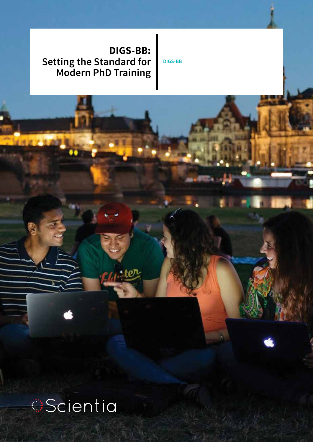# **DIGS-BB: Setting the Standard for Modern PhD Training**

ster

**DIGS-BB**

**Scientia**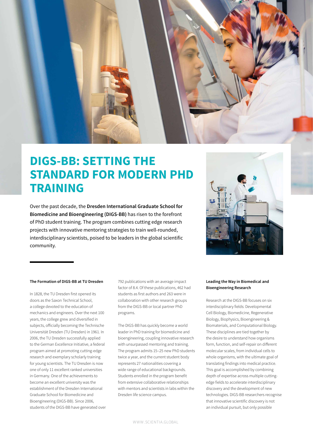

# **DIGS-BB: SETTING THE STANDARD FOR MODERN PHD TRAINING**

Over the past decade, the **Dresden International Graduate School for Biomedicine and Bioengineering (DIGS-BB)** has risen to the forefront of PhD student training. The program combines cutting edge research projects with innovative mentoring strategies to train well-rounded, interdisciplinary scientists, poised to be leaders in the global scientific community.



#### **The Formation of DIGS-BB at TU Dresden**

In 1828, the TU Dresden first opened its doors as the Saxon Technical School, a college devoted to the education of mechanics and engineers. Over the next 100 years, the college grew and diversified in subjects, officially becoming the Technische Universität Dresden (TU Dresden) in 1961. In 2006, the TU Dresden successfully applied to the German Excellence Initiative, a federal program aimed at promoting cutting-edge research and exemplary scholarly training for young scientists. The TU Dresden is now one of only 11 excellent ranked universities in Germany. One of the achievements to become an excellent university was the establishment of the Dresden International Graduate School for Biomedicine and Bioengineering (DIGS-BB). Since 2006, students of the DIGS-BB have generated over 792 publications with an average impact factor of 8.4. Of these publications, 462 had students as first authors and 263 were in collaboration with other research groups from the DIGS-BB or local partner PhD programs.

The DIGS-BB has quickly become a world leader in PhD training for biomedicine and bioengineering, coupling innovative research with unsurpassed mentoring and training. The program admits 15–25 new PhD students twice a year, and the current student body represents 27 nationalities covering a wide range of educational backgrounds. Students enrolled in the program benefit from extensive collaborative relationships with mentors and scientists in labs within the Dresden life science campus.

#### **Leading the Way in Biomedical and Bioengineering Research**

Research at the DIGS-BB focuses on six interdisciplinary fields: Developmental Cell Biology, Biomedicine, Regenerative Biology, Biophysics, Bioengineering & Biomaterials, and Computational Biology. These disciplines are tied together by the desire to understand how organisms form, function, and self-repair on different molecular scales, from individual cells to whole organisms, with the ultimate goal of translating findings into medical practice. This goal is accomplished by combining depth of expertise across multiple cuttingedge fields to accelerate interdisciplinary discovery and the development of new technologies. DIGS-BB researchers recognise that innovative scientific discovery is not an individual pursuit, but only possible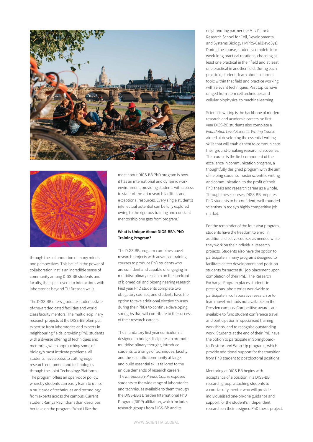



through the collaboration of many minds and perspectives. This belief in the power of collaboration instils an incredible sense of community among DIGS-BB students and faculty, that spills over into interactions with laboratories beyond TU Dresden walls.

The DIGS-BB offers graduate students stateof-the-art dedicated facilities and world class faculty mentors. The multidisciplinary research projects at the DIGS-BB often pull expertise from laboratories and experts in neighbouring fields, providing PhD students with a diverse offering of techniques and mentoring when approaching some of biology's most intricate problems. All students have access to cutting-edge research equipment and technologies through the Joint Technology Platforms. The program offers an open-door policy, whereby students can easily learn to utilise a multitude of techniques and technology from experts across the campus. Current student Ramya Ravindranathan describes her take on the program: 'What I like the

most about DIGS-BB PhD program is how it has an international and dynamic work environment, providing students with access to state-of-the-art research facilities and exceptional resources. Every single student's intellectual potential can be fully explored owing to the rigorous training and constant mentorship one gets from program.'

#### **What is Unique About DIGS-BB's PhD Training Program?**

The DIGS-BB program combines novel research projects with advanced training courses to produce PhD students who are confident and capable of engaging in multidisciplinary research on the forefront of biomedical and bioengineering research. First year PhD students complete two obligatory courses, and students have the option to take additional elective courses during their PhDs to continue developing strengths that will contribute to the success of their research careers.

The mandatory first year curriculum is designed to bridge disciplines to promote multidisciplinary thought, introduce students to a range of techniques, faculty, and the scientific community at large, and build essential skills tailored to the unique demands of research careers. The *Introductory Predoc Course* exposes students to the wide range of laboratories and techniques available to them through the DIGS-BB's Dresden International PhD Program (DIPP) affiliation, which includes research groups from DIGS-BB and its

neighbouring partner the Max Planck Research School for Cell, Developmental and Systems Biology (IMPRS-CellDevoSys). During the course, students complete four week-long practical rotations, choosing at least one practical in their field and at least one practical in another field. During each practical, students learn about a current topic within that field and practice working with relevant techniques. Past topics have ranged from stem cell techniques and cellular biophysics, to machine learning.

Scientific writing is the backbone of modern research and academic careers, so first year DIGS-BB students also complete a *Foundation Level Scientific Writing Course* aimed at developing the essential writing skills that will enable them to communicate their ground-breaking research discoveries. This course is the first component of the excellence in communication program, a thoughtfully designed program with the aim of helping students master scientific writing and communication, to the profit of their PhD thesis and research career as a whole. Through these courses, DIGS-BB prepares PhD students to be confident, well-rounded scientists in today's highly competitive job market.

For the remainder of the four-year program, students have the freedom to enrol in additional elective courses as needed while they work on their individual research projects. Students also have the option to participate in many programs designed to facilitate career development and position students for successful job placement upon completion of their PhD. The Research Exchange Program places students in prestigious laboratories worldwide to participate in collaborative research or to learn novel methods not available on the Dresden campus. Competitive awards are available to fund student conference travel and participation in specialised training workshops, and to recognise outstanding work. Students at the end of their PhD have the option to participate in Springboardto-Postdoc and Wrap-Up programs, which provide additional support for the transition from PhD student to postdoctoral positions.

Mentoring at DIGS-BB begins with acceptance of a position in a DIGS-BB research group, attaching students to a core faculty mentor who will provide individualised one-on-one guidance and support for the student's independent research on their assigned PhD thesis project.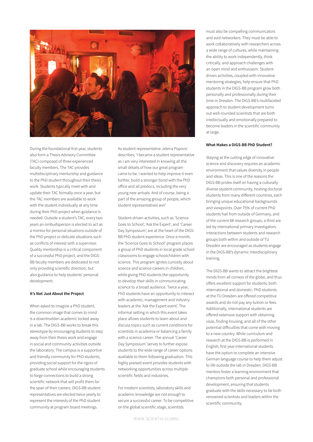

During the foundational first year, students also form a Thesis Advisory Committee (TAC) composed of three experienced faculty members. The TAC provides multidisciplinary mentorship and guidance to the PhD student throughout their thesis work. Students typically meet with and update their TAC formally once a year, but the TAC members are available to work with the student individually at any time during their PhD project when guidance is needed. Outside a student's TAC, every two years an ombudsperson is elected to act as a mentor for personal situations outside of the PhD project or delicate situations such as conflicts of interest with a supervisor. Quality mentorship is a critical component of a successful PhD project, and the DIGS-BB faculty members are dedicated to not only providing scientific direction, but also guidance to help students' personal development.

#### **It's Not Just About the Project**

When asked to imagine a PhD student, the common image that comes to mind is a downtrodden academic locked away in a lab. The DIGS-BB works to break this stereotype by encouraging students to step away from their thesis work and engage in social and community activities outside the laboratory. The campus is a supportive and friendly community for PhD students, providing social support for the rigors of graduate school while encouraging students to forge connections to build a strong scientific network that will profit them for the span of their careers. DIGS-BB student representatives are elected twice yearly to represent the interests of the PhD student community at program board meetings.

As student representative Jelena Popovic describes, 'I became a student representative as I am very interested in knowing all the small details of how our great program came to be. I wanted to help improve it even further, build a stronger bond with the PhD office and all predocs, including the very young new arrivals. And of course, being a part of the amazing group of people, which student representatives are!'

Student-driven activities, such as 'Science Goes to School', 'Ask the Expert', and 'Career Day Symposium', are at the heart of the DIGS-BB PhD student experience. Once a month, the 'Science Goes to School' program places a group of PhD students in local grade school classrooms to engage schoolchildren with science. This program ignites curiosity about science and science careers in children, while giving PhD students the opportunity to develop their skills in communicating science to a broad audience. Twice a year, PhD students have an opportunity to interact with academic, management and industry leaders at the 'Ask the Expert event'. The informal setting in which this event takes place allows students to learn about and discuss topics such as current conditions for scientists in academia or balancing a family with a science career. The annual 'Career Day Symposium' serves to further expose students to the wide range of career options available to them following graduation. This highly praised event provides students with networking opportunities across multiple scientific fields and industries.

For modern scientists, laboratory skills and academic knowledge are not enough to secure a successful career. To be competitive on the global scientific stage, scientists

must also be compelling communicators and avid networkers. They must be able to work collaboratively with researchers across a wide range of cultures, while maintaining the ability to work independently, think critically, and approach challenges with an open mind and enthusiasm. Studentdriven activities, coupled with innovative mentoring strategies, help ensure that PhD students in the DIGS-BB program grow both personally and professionally during their time in Dresden. The DIGS-BB's multifaceted approach to student development turns out well-rounded scientists that are both intellectually and emotionally prepared to become leaders in the scientific community at large.

#### **What Makes a DIGS-BB PhD Student?**

Staying at the cutting edge of innovative science and discovery requires an academic environment that values diversity in people and ideas. This is one of the reasons the DIGS-BB prides itself on having a culturally diverse student community, hosting doctoral students from many different countries, each bringing unique educational backgrounds and viewpoints. Over 75% of current PhD students hail from outside of Germany, and of the current 68 research groups, a third are led by international primary investigators. Interactions between students and research groups both within and outside of TU Dresden are encouraged as students engage in the DIGS-BB's dynamic interdisciplinary training.

The DIGS-BB wants to attract the brightest minds from all corners of the globe, and thus offers excellent support for students, both international and domestic. PhD students at the TU Dresden are offered competitive awards and do not pay any tuition or fees. Additionally, international students are offered extensive support with obtaining visas, finding housing, and all of the other potential difficulties that come with moving to a new country. While curriculum and research at the DIGS-BB is performed in English, first year international students have the option to complete an intensive German language course to help them adjust to life outside the lab in Dresden. DIGS-BB mentors foster a learning environment that champions both personal and professional development, ensuring that students graduate with the skills necessary to be both renowned scientists and leaders within the scientific community.